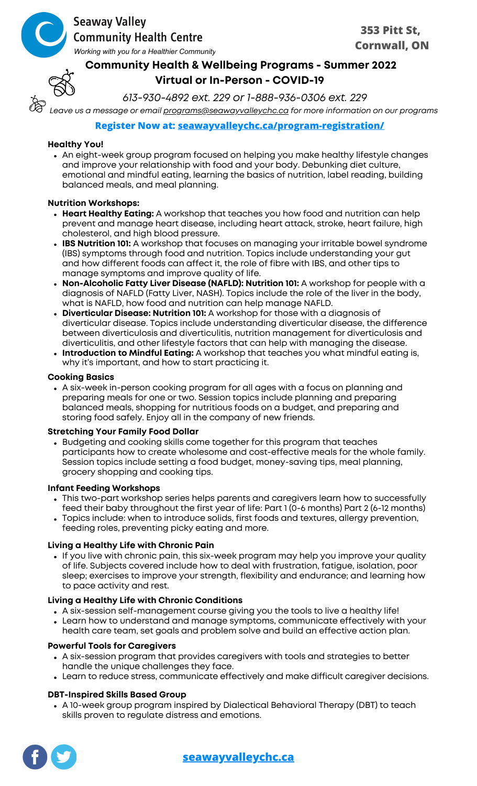

# **Seaway Valley Community Health Centre**

Working with you for a Healthier Community

# **Community Health & Wellbeing Programs - Summer 2022 Virtual or In-Person - COVID-19**

*613-930-4892 ext. 229 or 1-888-936-0306 ext. 229*

*Leave us a message or email [programs@seawayvalleychc.ca](http://seawayvalleychc.ca/) for more information on our programs*

## **Register Now at: [seawayvalleychc.ca/program-registration/](https://seawayvalleychc.ca/program-registration/)**

### **Healthy You!**

An eight-week group program focused on helping you make healthy lifestyle changes and improve your relationship with food and your body. Debunking diet culture, emotional and mindful eating, learning the basics of nutrition, label reading, building balanced meals, and meal planning.

### **Nutrition Workshops:**

- **Heart Healthy Eating:** A workshop that teaches you how food and nutrition can help prevent and manage heart disease, including heart attack, stroke, heart failure, high cholesterol, and high blood pressure.
- **IBS Nutrition 101:** A workshop that focuses on managing your irritable bowel syndrome (IBS) symptoms through food and nutrition. Topics include understanding your gut and how different foods can affect it, the role of fibre with IBS, and other tips to manage symptoms and improve quality of life.
- **Non-Alcoholic Fatty Liver Disease (NAFLD): Nutrition 101:** A workshop for people with a diagnosis of NAFLD (Fatty Liver, NASH). Topics include the role of the liver in the body, what is NAFLD, how food and nutrition can help manage NAFLD.
- **Diverticular Disease: Nutrition 101:** A workshop for those with a diagnosis of diverticular disease. Topics include understanding diverticular disease, the difference between diverticulosis and diverticulitis, nutrition management for diverticulosis and diverticulitis, and other lifestyle factors that can help with managing the disease.
- **Introduction to Mindful Eating:** A workshop that teaches you what mindful eating is, why it's important, and how to start practicing it.

### **Cooking Basics**

A six-week in-person cooking program for all ages with a focus on planning and preparing meals for one or two. Session topics include planning and preparing balanced meals, shopping for nutritious foods on a budget, and preparing and storing food safely. Enjoy all in the company of new friends.

### **Stretching Your Family Food Dollar**

Budgeting and cooking skills come together for this program that teaches participants how to create wholesome and cost-effective meals for the whole family. Session topics include setting a food budget, money-saving tips, meal planning, grocery shopping and cooking tips.

### **Infant Feeding Workshops**

- This two-part workshop series helps parents and caregivers learn how to successfully feed their baby throughout the first year of life: Part 1 (0-6 months) Part 2 (6-12 months)
- Topics include: when to introduce solids, first foods and textures, allergy prevention, feeding roles, preventing picky eating and more.

### **Living a Healthy Life with Chronic Pain**

• If you live with chronic pain, this six-week program may help you improve your quality of life. Subjects covered include how to deal with frustration, fatigue, isolation, poor sleep; exercises to improve your strength, flexibility and endurance; and learning how to pace activity and rest.

### **Living a Healthy Life with Chronic Conditions**

- A six-session self-management course giving you the tools to live a healthy life!
- Learn how to understand and manage symptoms, communicate effectively with your health care team, set goals and problem solve and build an effective action plan.

### **Powerful Tools for Caregivers**

- A six-session program that provides caregivers with tools and strategies to better handle the unique challenges they face.
- Learn to reduce stress, communicate effectively and make difficult caregiver decisions.

## **DBT-Inspired Skills Based Group**

A 10-week group program inspired by Dialectical Behavioral Therapy (DBT) to teach skills proven to regulate distress and emotions.